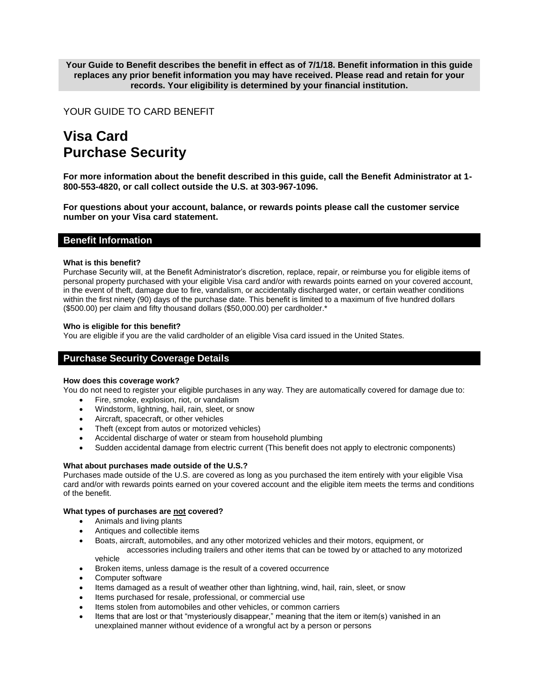**Your Guide to Benefit describes the benefit in effect as of 7/1/18. Benefit information in this guide replaces any prior benefit information you may have received. Please read and retain for your records. Your eligibility is determined by your financial institution.** 

# YOUR GUIDE TO CARD BENEFIT

# **Visa Card Purchase Security**

**For more information about the benefit described in this guide, call the Benefit Administrator at 1- 800-553-4820, or call collect outside the U.S. at 303-967-1096.**

**For questions about your account, balance, or rewards points please call the customer service number on your Visa card statement.**

### **Benefit Information**

### **What is this benefit?**

Purchase Security will, at the Benefit Administrator's discretion, replace, repair, or reimburse you for eligible items of personal property purchased with your eligible Visa card and/or with rewards points earned on your covered account, in the event of theft, damage due to fire, vandalism, or accidentally discharged water, or certain weather conditions within the first ninety (90) days of the purchase date. This benefit is limited to a maximum of five hundred dollars (\$500.00) per claim and fifty thousand dollars (\$50,000.00) per cardholder.\*

### **Who is eligible for this benefit?**

You are eligible if you are the valid cardholder of an eligible Visa card issued in the United States.

# **Purchase Security Coverage Details**

#### **How does this coverage work?**

You do not need to register your eligible purchases in any way. They are automatically covered for damage due to:

- Fire, smoke, explosion, riot, or vandalism
- Windstorm, lightning, hail, rain, sleet, or snow
- Aircraft, spacecraft, or other vehicles
- Theft (except from autos or motorized vehicles)
- Accidental discharge of water or steam from household plumbing
- Sudden accidental damage from electric current (This benefit does not apply to electronic components)

### **What about purchases made outside of the U.S.?**

Purchases made outside of the U.S. are covered as long as you purchased the item entirely with your eligible Visa card and/or with rewards points earned on your covered account and the eligible item meets the terms and conditions of the benefit.

#### **What types of purchases are not covered?**

- Animals and living plants
- Antiques and collectible items
- Boats, aircraft, automobiles, and any other motorized vehicles and their motors, equipment, or accessories including trailers and other items that can be towed by or attached to any motorized vehicle
- Broken items, unless damage is the result of a covered occurrence
- Computer software
- Items damaged as a result of weather other than lightning, wind, hail, rain, sleet, or snow
- Items purchased for resale, professional, or commercial use
- Items stolen from automobiles and other vehicles, or common carriers
- Items that are lost or that "mysteriously disappear," meaning that the item or item(s) vanished in an unexplained manner without evidence of a wrongful act by a person or persons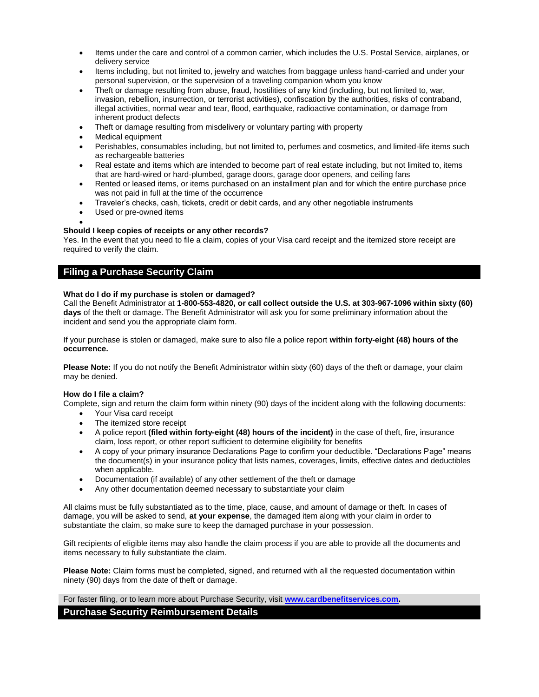- Items under the care and control of a common carrier, which includes the U.S. Postal Service, airplanes, or delivery service
- Items including, but not limited to, jewelry and watches from baggage unless hand-carried and under your personal supervision, or the supervision of a traveling companion whom you know
- Theft or damage resulting from abuse, fraud, hostilities of any kind (including, but not limited to, war, invasion, rebellion, insurrection, or terrorist activities), confiscation by the authorities, risks of contraband, illegal activities, normal wear and tear, flood, earthquake, radioactive contamination, or damage from inherent product defects
- Theft or damage resulting from misdelivery or voluntary parting with property
- Medical equipment
- Perishables, consumables including, but not limited to, perfumes and cosmetics, and limited-life items such as rechargeable batteries
- Real estate and items which are intended to become part of real estate including, but not limited to, items that are hard-wired or hard-plumbed, garage doors, garage door openers, and ceiling fans
- Rented or leased items, or items purchased on an installment plan and for which the entire purchase price was not paid in full at the time of the occurrence
- Traveler's checks, cash, tickets, credit or debit cards, and any other negotiable instruments
- Used or pre-owned items

#### $\bullet$ **Should I keep copies of receipts or any other records?**

Yes. In the event that you need to file a claim, copies of your Visa card receipt and the itemized store receipt are required to verify the claim.

# **Filing a Purchase Security Claim**

### **What do I do if my purchase is stolen or damaged?**

Call the Benefit Administrator at **1-800-553-4820, or call collect outside the U.S. at 303-967-1096 within sixty (60) days** of the theft or damage. The Benefit Administrator will ask you for some preliminary information about the incident and send you the appropriate claim form.

If your purchase is stolen or damaged, make sure to also file a police report **within forty-eight (48) hours of the occurrence.** 

**Please Note:** If you do not notify the Benefit Administrator within sixty (60) days of the theft or damage, your claim may be denied.

### **How do I file a claim?**

Complete, sign and return the claim form within ninety (90) days of the incident along with the following documents:

- Your Visa card receipt
- The itemized store receipt
- A police report **(filed within forty-eight (48) hours of the incident)** in the case of theft, fire, insurance claim, loss report, or other report sufficient to determine eligibility for benefits
- A copy of your primary insurance Declarations Page to confirm your deductible. "Declarations Page" means the document(s) in your insurance policy that lists names, coverages, limits, effective dates and deductibles when applicable.
- Documentation (if available) of any other settlement of the theft or damage
- Any other documentation deemed necessary to substantiate your claim

All claims must be fully substantiated as to the time, place, cause, and amount of damage or theft. In cases of damage, you will be asked to send, **at your expense**, the damaged item along with your claim in order to substantiate the claim, so make sure to keep the damaged purchase in your possession.

Gift recipients of eligible items may also handle the claim process if you are able to provide all the documents and items necessary to fully substantiate the claim.

**Please Note:** Claim forms must be completed, signed, and returned with all the requested documentation within ninety (90) days from the date of theft or damage.

For faster filing, or to learn more about Purchase Security, visit **[www.cardbenefitservices.com.](http://www.cardbenefitservices.com/)** 

# **Purchase Security Reimbursement Details**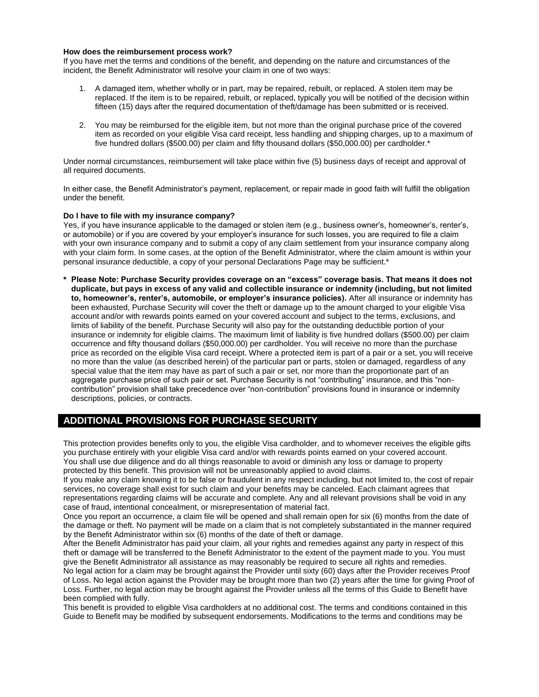#### **How does the reimbursement process work?**

If you have met the terms and conditions of the benefit, and depending on the nature and circumstances of the incident, the Benefit Administrator will resolve your claim in one of two ways:

- 1. A damaged item, whether wholly or in part, may be repaired, rebuilt, or replaced. A stolen item may be replaced. If the item is to be repaired, rebuilt, or replaced, typically you will be notified of the decision within fifteen (15) days after the required documentation of theft/damage has been submitted or is received.
- 2. You may be reimbursed for the eligible item, but not more than the original purchase price of the covered item as recorded on your eligible Visa card receipt, less handling and shipping charges, up to a maximum of five hundred dollars (\$500.00) per claim and fifty thousand dollars (\$50,000.00) per cardholder.\*

Under normal circumstances, reimbursement will take place within five (5) business days of receipt and approval of all required documents.

In either case, the Benefit Administrator's payment, replacement, or repair made in good faith will fulfill the obligation under the benefit.

#### **Do I have to file with my insurance company?**

Yes, if you have insurance applicable to the damaged or stolen item (e.g., business owner's, homeowner's, renter's, or automobile) or if you are covered by your employer's insurance for such losses, you are required to file a claim with your own insurance company and to submit a copy of any claim settlement from your insurance company along with your claim form. In some cases, at the option of the Benefit Administrator, where the claim amount is within your personal insurance deductible, a copy of your personal Declarations Page may be sufficient.\*

**\* Please Note: Purchase Security provides coverage on an "excess" coverage basis. That means it does not duplicate, but pays in excess of any valid and collectible insurance or indemnity (including, but not limited to, homeowner's, renter's, automobile, or employer's insurance policies).** After all insurance or indemnity has been exhausted, Purchase Security will cover the theft or damage up to the amount charged to your eligible Visa account and/or with rewards points earned on your covered account and subject to the terms, exclusions, and limits of liability of the benefit. Purchase Security will also pay for the outstanding deductible portion of your insurance or indemnity for eligible claims. The maximum limit of liability is five hundred dollars (\$500.00) per claim occurrence and fifty thousand dollars (\$50,000.00) per cardholder. You will receive no more than the purchase price as recorded on the eligible Visa card receipt. Where a protected item is part of a pair or a set, you will receive no more than the value (as described herein) of the particular part or parts, stolen or damaged, regardless of any special value that the item may have as part of such a pair or set, nor more than the proportionate part of an aggregate purchase price of such pair or set. Purchase Security is not "contributing" insurance, and this "noncontribution" provision shall take precedence over "non-contribution" provisions found in insurance or indemnity descriptions, policies, or contracts.

# **ADDITIONAL PROVISIONS FOR PURCHASE SECURITY**

This protection provides benefits only to you, the eligible Visa cardholder, and to whomever receives the eligible gifts you purchase entirely with your eligible Visa card and/or with rewards points earned on your covered account. You shall use due diligence and do all things reasonable to avoid or diminish any loss or damage to property protected by this benefit. This provision will not be unreasonably applied to avoid claims.

If you make any claim knowing it to be false or fraudulent in any respect including, but not limited to, the cost of repair services, no coverage shall exist for such claim and your benefits may be canceled. Each claimant agrees that representations regarding claims will be accurate and complete. Any and all relevant provisions shall be void in any case of fraud, intentional concealment, or misrepresentation of material fact.

Once you report an occurrence, a claim file will be opened and shall remain open for six (6) months from the date of the damage or theft. No payment will be made on a claim that is not completely substantiated in the manner required by the Benefit Administrator within six (6) months of the date of theft or damage.

After the Benefit Administrator has paid your claim, all your rights and remedies against any party in respect of this theft or damage will be transferred to the Benefit Administrator to the extent of the payment made to you. You must give the Benefit Administrator all assistance as may reasonably be required to secure all rights and remedies.

No legal action for a claim may be brought against the Provider until sixty (60) days after the Provider receives Proof of Loss. No legal action against the Provider may be brought more than two (2) years after the time for giving Proof of Loss. Further, no legal action may be brought against the Provider unless all the terms of this Guide to Benefit have been complied with fully.

This benefit is provided to eligible Visa cardholders at no additional cost. The terms and conditions contained in this Guide to Benefit may be modified by subsequent endorsements. Modifications to the terms and conditions may be